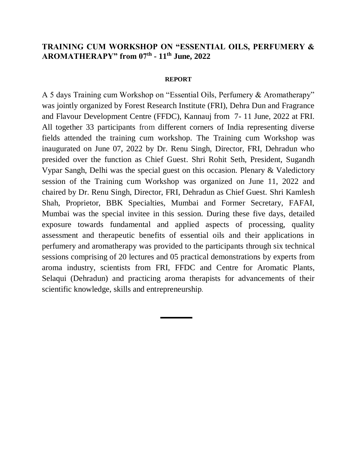## **TRAINING CUM WORKSHOP ON "ESSENTIAL OILS, PERFUMERY & AROMATHERAPY" from 07th - 11th June, 2022**

## **REPORT**

A 5 days Training cum Workshop on "Essential Oils, Perfumery & Aromatherapy" was jointly organized by Forest Research Institute (FRI), Dehra Dun and Fragrance and Flavour Development Centre (FFDC), Kannauj from 7- 11 June, 2022 at FRI. All together 33 participants from different corners of India representing diverse fields attended the training cum workshop. The Training cum Workshop was inaugurated on June 07, 2022 by Dr. Renu Singh, Director, FRI, Dehradun who presided over the function as Chief Guest. Shri Rohit Seth, President, Sugandh Vypar Sangh, Delhi was the special guest on this occasion. Plenary & Valedictory session of the Training cum Workshop was organized on June 11, 2022 and chaired by Dr. Renu Singh, Director, FRI, Dehradun as Chief Guest. Shri Kamlesh Shah, Proprietor, BBK Specialties, Mumbai and Former Secretary, FAFAI, Mumbai was the special invitee in this session. During these five days, detailed exposure towards fundamental and applied aspects of processing, quality assessment and therapeutic benefits of essential oils and their applications in perfumery and aromatherapy was provided to the participants through six technical sessions comprising of 20 lectures and 05 practical demonstrations by experts from aroma industry, scientists from FRI, FFDC and Centre for Aromatic Plants, Selaqui (Dehradun) and practicing aroma therapists for advancements of their scientific knowledge, skills and entrepreneurship.